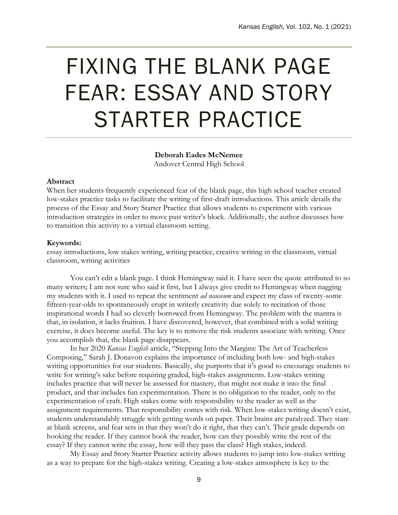# FIXING THE BLANK PAGE FEAR: ESSAY AND STORY STARTER PRACTICE

**Deborah Eades McNemee** Andover Central High School

#### **Abstract**

When her students frequently experienced fear of the blank page, this high school teacher created low-stakes practice tasks to facilitate the writing of first-draft introductions. This article details the process of the Essay and Story Starter Practice that allows students to experiment with various introduction strategies in order to move past writer's block. Additionally, the author discusses how to transition this activity to a virtual classroom setting.

### **Keywords:**

essay introductions, low stakes writing, writing practice, creative writing in the classroom, virtual classroom, writing activities

You can't edit a blank page. I think Hemingway said it. I have seen the quote attributed to so many writers; I am not sure who said it first, but I always give credit to Hemingway when nagging my students with it. I used to repeat the sentiment *ad nauseum* and expect my class of twenty-some fifteen-year-olds to spontaneously erupt in writerly creativity due solely to recitation of those inspirational words I had so cleverly borrowed from Hemingway. The problem with the mantra is that, in isolation, it lacks fruition. I have discovered, however, that combined with a solid writing exercise, it does become useful. The key is to remove the risk students associate with writing. Once you accomplish that, the blank page disappears.

In her 2020 *Kansas English* article, "Stepping Into the Margins: The Art of Teacherless Composing," Sarah J. Donavon explains the importance of including both low- and high-stakes writing opportunities for our students. Basically, she purports that it's good to encourage students to write for writing's sake before requiring graded, high-stakes assignments. Low-stakes writing includes practice that will never be assessed for mastery, that might not make it into the final product, and that includes fun experimentation. There is no obligation to the reader, only to the experimentation of craft. High stakes come with responsibility to the reader as well as the assignment requirements. That responsibility comes with risk. When low-stakes writing doesn't exist, students understandably struggle with getting words on paper. Their brains are paralyzed. They stare at blank screens, and fear sets in that they won't do it right, that they can't. Their grade depends on hooking the reader. If they cannot hook the reader, how can they possibly write the rest of the essay? If they cannot write the essay, how will they pass the class? High stakes, indeed.

My Essay and Story Starter Practice activity allows students to jump into low-stakes writing as a way to prepare for the high-stakes writing. Creating a low-stakes atmosphere is key to the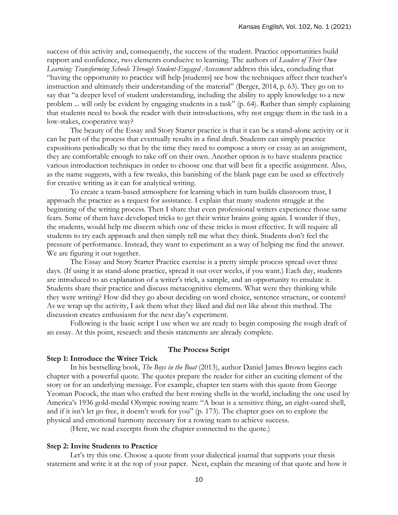success of this activity and, consequently, the success of the student. Practice opportunities build rapport and confidence, two elements conducive to learning. The authors of *Leaders of Their Own*  Learning: Transforming Schools Through Student-Engaged Assessment address this idea, concluding that "having the opportunity to practice will help [students] see how the techniques affect their teacher's instruction and ultimately their understanding of the material" (Berger, 2014, p. 63). They go on to say that "a deeper level of student understanding, including the ability to apply knowledge to a new problem ... will only be evident by engaging students in a task" (p. 64). Rather than simply explaining that students need to hook the reader with their introductions, why not engage them in the task in a low-stakes, cooperative way?

The beauty of the Essay and Story Starter practice is that it can be a stand-alone activity or it can be part of the process that eventually results in a final draft. Students can simply practice expositions periodically so that by the time they need to compose a story or essay as an assignment, they are comfortable enough to take off on their own. Another option is to have students practice various introduction techniques in order to choose one that will best fit a specific assignment. Also, as the name suggests, with a few tweaks, this banishing of the blank page can be used as effectively for creative writing as it can for analytical writing.

To create a team-based atmosphere for learning which in turn builds classroom trust, I approach the practice as a request for assistance. I explain that many students struggle at the beginning of the writing process. Then I share that even professional writers experience those same fears. Some of them have developed tricks to get their writer brains going again. I wonder if they, the students, would help me discern which one of these tricks is most effective. It will require all students to try each approach and then simply tell me what they think. Students don't feel the pressure of performance. Instead, they want to experiment as a way of helping me find the answer. We are figuring it out together.

The Essay and Story Starter Practice exercise is a pretty simple process spread over three days. (If using it as stand-alone practice, spread it out over weeks, if you want.) Each day, students are introduced to an explanation of a writer's trick, a sample, and an opportunity to emulate it. Students share their practice and discuss metacognitive elements. What were they thinking while they were writing? How did they go about deciding on word choice, sentence structure, or content? As we wrap up the activity, I ask them what they liked and did not like about this method. The discussion creates enthusiasm for the next day's experiment.

Following is the basic script I use when we are ready to begin composing the rough draft of an essay. At this point, research and thesis statements are already complete.

#### **The Process Script**

#### **Step 1: Introduce the Writer Trick**

In his bestselling book, *The Boys in the Boat* (2013), author Daniel James Brown begins each chapter with a powerful quote. The quotes prepare the reader for either an exciting element of the story or for an underlying message. For example, chapter ten starts with this quote from George Yeoman Pocock, the man who crafted the best rowing shells in the world, including the one used by America's 1936 gold-medal Olympic rowing team: "A boat is a sensitive thing, an eight-oared shell, and if it isn't let go free, it doesn't work for you" (p. 173). The chapter goes on to explore the physical and emotional harmony necessary for a rowing team to achieve success.

(Here, we read excerpts from the chapter connected to the quote.)

#### **Step 2: Invite Students to Practice**

Let's try this one. Choose a quote from your dialectical journal that supports your thesis statement and write it at the top of your paper. Next, explain the meaning of that quote and how it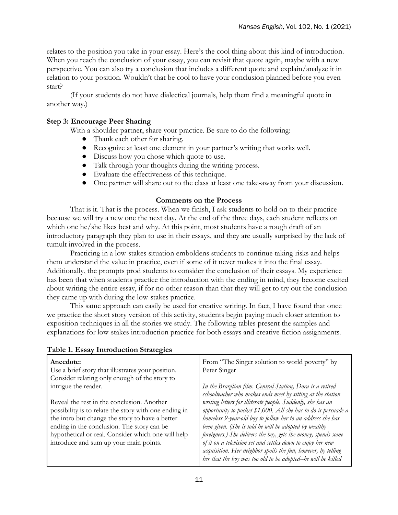relates to the position you take in your essay. Here's the cool thing about this kind of introduction. When you reach the conclusion of your essay, you can revisit that quote again, maybe with a new perspective. You can also try a conclusion that includes a different quote and explain/analyze it in relation to your position. Wouldn't that be cool to have your conclusion planned before you even start?

(If your students do not have dialectical journals, help them find a meaningful quote in another way.)

# **Step 3: Encourage Peer Sharing**

With a shoulder partner, share your practice. Be sure to do the following:

- Thank each other for sharing.
- Recognize at least one element in your partner's writing that works well.
- Discuss how you chose which quote to use.
- Talk through your thoughts during the writing process.
- Evaluate the effectiveness of this technique.
- One partner will share out to the class at least one take-away from your discussion.

## **Comments on the Process**

That is it. That is the process. When we finish, I ask students to hold on to their practice because we will try a new one the next day. At the end of the three days, each student reflects on which one he/she likes best and why. At this point, most students have a rough draft of an introductory paragraph they plan to use in their essays, and they are usually surprised by the lack of tumult involved in the process.

Practicing in a low-stakes situation emboldens students to continue taking risks and helps them understand the value in practice, even if some of it never makes it into the final essay. Additionally, the prompts prod students to consider the conclusion of their essays. My experience has been that when students practice the introduction with the ending in mind, they become excited about writing the entire essay, if for no other reason than that they will get to try out the conclusion they came up with during the low-stakes practice.

This same approach can easily be used for creative writing. In fact, I have found that once we practice the short story version of this activity, students begin paying much closer attention to exposition techniques in all the stories we study. The following tables present the samples and explanations for low-stakes introduction practice for both essays and creative fiction assignments.

| Anecdote:<br>Use a brief story that illustrates your position.                                           | From "The Singer solution to world poverty" by<br>Peter Singer                                                                |
|----------------------------------------------------------------------------------------------------------|-------------------------------------------------------------------------------------------------------------------------------|
| Consider relating only enough of the story to<br>intrigue the reader.                                    |                                                                                                                               |
|                                                                                                          | In the Brazilian film, Central Station, Dora is a retired<br>schoolteacher who makes ends meet by sitting at the station      |
| Reveal the rest in the conclusion. Another                                                               | writing letters for illiterate people. Suddenly, she has an                                                                   |
| possibility is to relate the story with one ending in<br>the intro but change the story to have a better | opportunity to pocket \$1,000. All she has to do is persuade a<br>homeless 9-year-old boy to follow her to an address she has |
| ending in the conclusion. The story can be                                                               | been given. (She is told he will be adopted by wealthy                                                                        |
| hypothetical or real. Consider which one will help<br>introduce and sum up your main points.             | foreigners.) She delivers the boy, gets the money, spends some<br>of it on a television set and settles down to enjoy her new |
|                                                                                                          | acquisition. Her neighbor spoils the fun, however, by telling                                                                 |
|                                                                                                          | her that the boy was too old to be adopted-he will be killed                                                                  |

# **Table 1. Essay Introduction Strategies**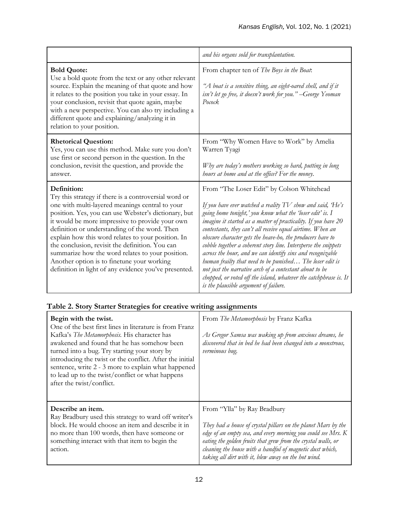|                                                                                                                                                                                                                                                                                                                                                                                                                                                                                                                                                         | and his organs sold for transplantation.                                                                                                                                                                                                                                                                                                                                                                                                                                                                                                                                                                                                                                                                                                |
|---------------------------------------------------------------------------------------------------------------------------------------------------------------------------------------------------------------------------------------------------------------------------------------------------------------------------------------------------------------------------------------------------------------------------------------------------------------------------------------------------------------------------------------------------------|-----------------------------------------------------------------------------------------------------------------------------------------------------------------------------------------------------------------------------------------------------------------------------------------------------------------------------------------------------------------------------------------------------------------------------------------------------------------------------------------------------------------------------------------------------------------------------------------------------------------------------------------------------------------------------------------------------------------------------------------|
| <b>Bold Quote:</b><br>Use a bold quote from the text or any other relevant<br>source. Explain the meaning of that quote and how<br>it relates to the position you take in your essay. In<br>your conclusion, revisit that quote again, maybe<br>with a new perspective. You can also try including a<br>different quote and explaining/analyzing it in<br>relation to your position.                                                                                                                                                                    | From chapter ten of The Boys in the Boat:<br>"A boat is a sensitive thing, an eight-oared shell, and if it<br>isn't let go free, it doesn't work for you." --George Yeoman<br>Pocock                                                                                                                                                                                                                                                                                                                                                                                                                                                                                                                                                    |
| <b>Rhetorical Question:</b><br>Yes, you can use this method. Make sure you don't<br>use first or second person in the question. In the<br>conclusion, revisit the question, and provide the<br>answer.                                                                                                                                                                                                                                                                                                                                                  | From "Why Women Have to Work" by Amelia<br>Warren Tyagi<br>Why are today's mothers working so hard, putting in long<br>hours at home and at the office? For the money.                                                                                                                                                                                                                                                                                                                                                                                                                                                                                                                                                                  |
| Definition:<br>Try this strategy if there is a controversial word or<br>one with multi-layered meanings central to your<br>position. Yes, you can use Webster's dictionary, but<br>it would be more impressive to provide your own<br>definition or understanding of the word. Then<br>explain how this word relates to your position. In<br>the conclusion, revisit the definition. You can<br>summarize how the word relates to your position.<br>Another option is to finetune your working<br>definition in light of any evidence you've presented. | From "The Loser Edit" by Colson Whitehead<br>If you have ever watched a reality TV show and said, He's<br>going home tonight,' you know what the 'loser edit' is. I<br>imagine it started as a matter of practicality. If you have 20<br>contestants, they can't all receive equal airtime. When an<br>obscure character gets the heave-ho, the producers have to<br>cobble together a coherent story line. Intersperse the snippets<br>across the hour, and we can identify sins and recognizable<br>human frailty that need to be punished The loser edit is<br>not just the narrative arch of a contestant about to be<br>chopped, or voted off the island, whatever the catchphrase is. It<br>is the plausible argument of failure. |

# **Table 2. Story Starter Strategies for creative writing assignments**

| Begin with the twist.<br>One of the best first lines in literature is from Franz<br>Kafka's The Metamorphosis. His character has<br>awakened and found that he has somehow been<br>turned into a bug. Try starting your story by<br>introducing the twist or the conflict. After the initial<br>sentence, write 2 - 3 more to explain what happened<br>to lead up to the twist/conflict or what happens<br>after the twist/conflict. | From The Metamorphosis by Franz Kafka<br>As Gregor Samsa was waking up from anxious dreams, he<br>discovered that in bed he had been changed into a monstrous,<br>verminous bug. |
|--------------------------------------------------------------------------------------------------------------------------------------------------------------------------------------------------------------------------------------------------------------------------------------------------------------------------------------------------------------------------------------------------------------------------------------|----------------------------------------------------------------------------------------------------------------------------------------------------------------------------------|
| Describe an item.                                                                                                                                                                                                                                                                                                                                                                                                                    | From "Ylla" by Ray Bradbury                                                                                                                                                      |
| Ray Bradbury used this strategy to ward off writer's                                                                                                                                                                                                                                                                                                                                                                                 | They had a house of crystal pillars on the planet Mars by the                                                                                                                    |
| block. He would choose an item and describe it in                                                                                                                                                                                                                                                                                                                                                                                    | edge of an empty sea, and every morning you could see Mrs. K                                                                                                                     |
| no more than 100 words, then have someone or                                                                                                                                                                                                                                                                                                                                                                                         | eating the golden fruits that grew from the crystal walls, or                                                                                                                    |
| something interact with that item to begin the                                                                                                                                                                                                                                                                                                                                                                                       | cleaning the house with a handful of magnetic dust which,                                                                                                                        |
| action.                                                                                                                                                                                                                                                                                                                                                                                                                              | taking all dirt with it, blew away on the hot wind.                                                                                                                              |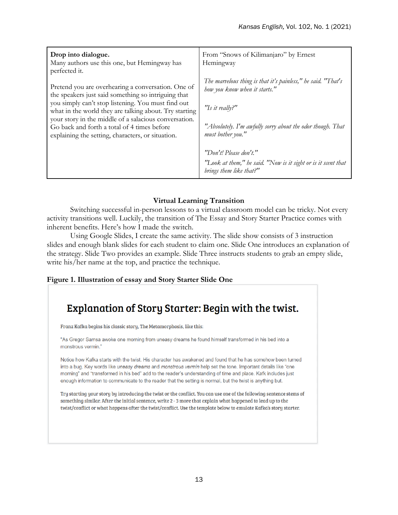| Drop into dialogue.<br>Many authors use this one, but Hemingway has<br>perfected it.                                                                                                                                                                                                                                                                                                   | From "Snows of Kilimanjaro" by Ernest<br>Hemingway                                                                                                                                                  |
|----------------------------------------------------------------------------------------------------------------------------------------------------------------------------------------------------------------------------------------------------------------------------------------------------------------------------------------------------------------------------------------|-----------------------------------------------------------------------------------------------------------------------------------------------------------------------------------------------------|
| Pretend you are overhearing a conversation. One of<br>the speakers just said something so intriguing that<br>you simply can't stop listening. You must find out<br>what in the world they are talking about. Try starting<br>your story in the middle of a salacious conversation.<br>Go back and forth a total of 4 times before<br>explaining the setting, characters, or situation. | The marvelous thing is that it's painless," he said. "That's<br>how you know when it starts."<br>"Is it really?"<br>"Absolutely. I'm awfully sorry about the odor though. That<br>must bother you." |
|                                                                                                                                                                                                                                                                                                                                                                                        | "Don't! Please don't."<br>"Look at them," he said. "Now is it sight or is it scent that<br>brings them like that?"                                                                                  |

# **Virtual Learning Transition**

Switching successful in-person lessons to a virtual classroom model can be tricky. Not every activity transitions well. Luckily, the transition of The Essay and Story Starter Practice comes with inherent benefits. Here's how I made the switch.

Using Google Slides, I create the same activity. The slide show consists of 3 instruction slides and enough blank slides for each student to claim one. Slide One introduces an explanation of the strategy. Slide Two provides an example. Slide Three instructs students to grab an empty slide, write his/her name at the top, and practice the technique.

# **Figure 1. Illustration of essay and Story Starter Slide One**

# **Explanation of Story Starter: Begin with the twist.**

Franz Kafka begins his classic story, The Metamorphosis, like this:

"As Gregor Samsa awoke one morning from uneasy dreams he found himself transformed in his bed into a monstrous vermin."

Notice how Kafka starts with the twist. His character has awakened and found that he has somehow been turned into a bug. Key words like uneasy dreams and monstrous vermin help set the tone. Important details like "one morning" and "transformed in his bed" add to the reader's understanding of time and place. Kafk includes just enough information to communicate to the reader that the setting is normal, but the twist is anything but.

Try starting your story by introducing the twist or the conflict. You can use one of the following sentence stems of something similar. After the initial sentence, write 2 - 3 more that explain what happened to lead up to the twist/conflict or what happens after the twist/conflict. Use the template below to emulate Kafka's story starter.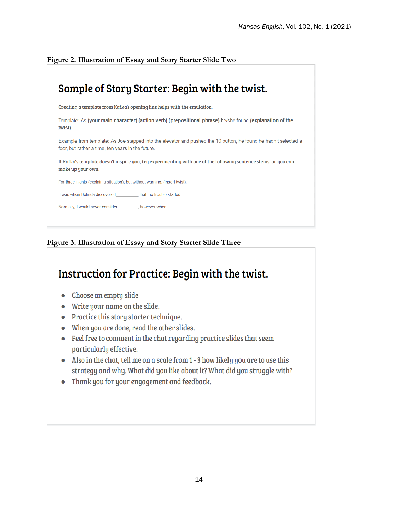**Figure 2. Illustration of Essay and Story Starter Slide Two**

# Sample of Story Starter: Begin with the twist.

Creating a template from Kafka's opening line helps with the emulation.

Template: As (your main character) (action verb) (prepositional phrase) he/she found (explanation of the twist).

Example from template: As Joe stepped into the elevator and pushed the 10 button, he found he hadn't selected a foor, but rather a time, ten years in the future.

If Kafka's template doesn't inspire you, try experimenting with one of the following sentence stems, or you can make up your own.

For three nights (explain a situation), but without warning, (Insert twist).

It was when Belinda discovered\_\_\_\_\_\_\_\_\_\_\_\_ that the trouble started.

Normally, I would never consider\_\_\_\_ \_\_\_\_\_; however when

**Figure 3. Illustration of Essay and Story Starter Slide Three**

# Instruction for Practice: Begin with the twist.

- Choose an empty slide
- Write your name on the slide.
- Practice this story starter technique.
- When you are done, read the other slides.
- Feel free to comment in the chat regarding practice slides that seem particularly effective.
- Also in the chat, tell me on a scale from 1 3 how likely you are to use this strategy and why. What did you like about it? What did you struggle with?
- Thank you for your engagement and feedback.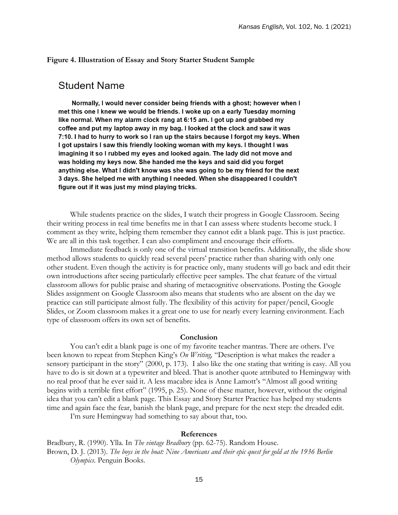#### **Figure 4. Illustration of Essay and Story Starter Student Sample**

# **Student Name**

Normally, I would never consider being friends with a ghost; however when I met this one I knew we would be friends. I woke up on a early Tuesday morning like normal. When my alarm clock rang at 6:15 am. I got up and grabbed my coffee and put my laptop away in my bag. I looked at the clock and saw it was 7:10. I had to hurry to work so I ran up the stairs because I forgot my keys. When I got upstairs I saw this friendly looking woman with my keys. I thought I was imagining it so I rubbed my eyes and looked again. The lady did not move and was holding my keys now. She handed me the keys and said did you forget anything else. What I didn't know was she was going to be my friend for the next 3 days. She helped me with anything I needed. When she disappeared I couldn't figure out if it was just my mind playing tricks.

While students practice on the slides, I watch their progress in Google Classroom. Seeing their writing process in real time benefits me in that I can assess where students become stuck. I comment as they write, helping them remember they cannot edit a blank page. This is just practice. We are all in this task together. I can also compliment and encourage their efforts.

Immediate feedback is only one of the virtual transition benefits. Additionally, the slide show method allows students to quickly read several peers' practice rather than sharing with only one other student. Even though the activity is for practice only, many students will go back and edit their own introductions after seeing particularly effective peer samples. The chat feature of the virtual classroom allows for public praise and sharing of metacognitive observations. Posting the Google Slides assignment on Google Classroom also means that students who are absent on the day we practice can still participate almost fully. The flexibility of this activity for paper/pencil, Google Slides, or Zoom classroom makes it a great one to use for nearly every learning environment. Each type of classroom offers its own set of benefits.

## **Conclusion**

You can't edit a blank page is one of my favorite teacher mantras. There are others. I've been known to repeat from Stephen King's *On Writing,* "Description is what makes the reader a sensory participant in the story" (2000, p. 173). I also like the one stating that writing is easy. All you have to do is sit down at a typewriter and bleed. That is another quote attributed to Hemingway with no real proof that he ever said it. A less macabre idea is Anne Lamott's "Almost all good writing begins with a terrible first effort" (1995, p. 25). None of these matter, however, without the original idea that you can't edit a blank page. This Essay and Story Starter Practice has helped my students time and again face the fear, banish the blank page, and prepare for the next step: the dreaded edit.

I'm sure Hemingway had something to say about that, too.

#### **References**

Bradbury, R. (1990). Ylla. In *The vintage Bradbury* (pp. 62-75). Random House. Brown, D. J. (2013). *The boys in the boat: Nine Americans and their epic quest for gold at the 1936 Berlin Olympics.* Penguin Books.